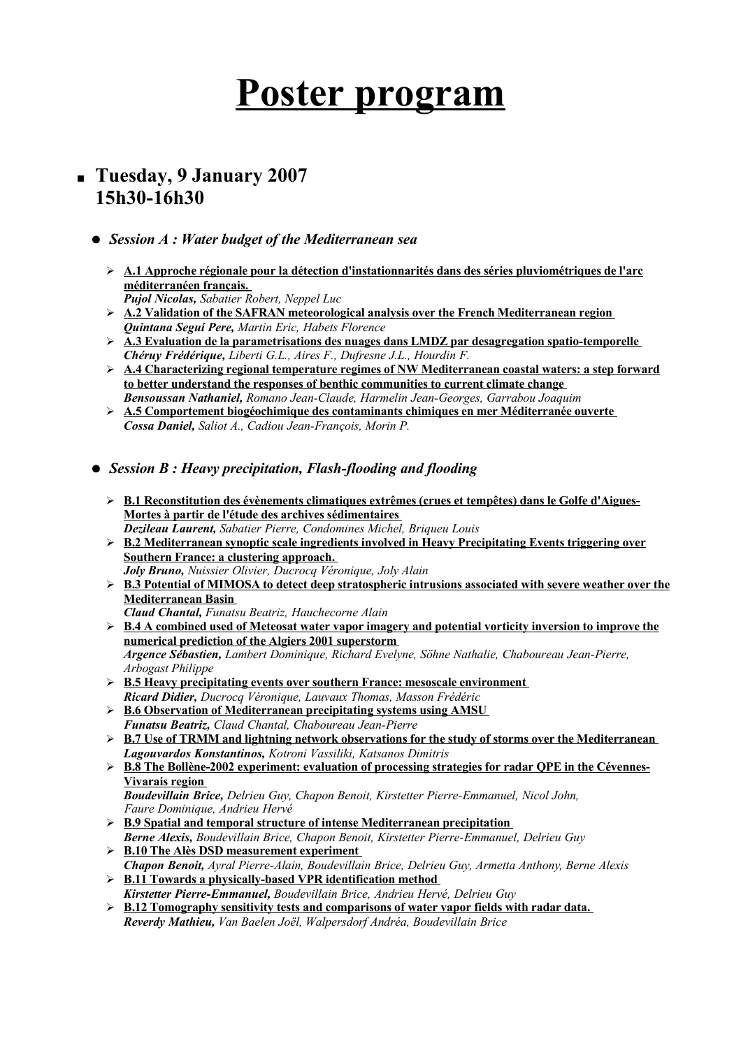## **Poster program**

- **Tuesday, 9 January 2007 15h30-16h30**
	- *Session A : Water budget of the Mediterranean sea*
		- ➢ **A.1 Approche régionale pour la détection d'instationnarités dans des séries pluviométriques de l'arc méditerranéen français.** 
			- *Pujol Nicolas, Sabatier Robert, Neppel Luc*
		- ➢ **A.2 Validation of the SAFRAN meteorological analysis over the French Mediterranean region** *Quintana Seguí Pere, Martin Eric, Habets Florence*
		- ➢ **A.3 Evaluation de la parametrisations des nuages dans LMDZ par desagregation spatio-temporelle** *Chéruy Frédérique, Liberti G.L., Aires F., Dufresne J.L., Hourdin F.*
		- ➢ **A.4 Characterizing regional temperature regimes of NW Mediterranean coastal waters: a step forward to better understand the responses of benthic communities to current climate change** *Bensoussan Nathaniel, Romano Jean-Claude, Harmelin Jean-Georges, Garrabou Joaquim*
		- ➢ **A.5 Comportement biogéochimique des contaminants chimiques en mer Méditerranée ouverte** *Cossa Daniel, Saliot A., Cadiou Jean-François, Morin P.*
	- *Session B : Heavy precipitation, Flash-flooding and flooding*
		- ➢ **B.1 Reconstitution des évènements climatiques extrêmes (crues et tempêtes) dans le Golfe d'Aigues-Mortes à partir de l'étude des archives sédimentaires** *Dezileau Laurent, Sabatier Pierre, Condomines Michel, Briqueu Louis*
		- ➢ **B.2 Mediterranean synoptic scale ingredients involved in Heavy Precipitating Events triggering over Southern France: a clustering approach.** *Joly Bruno, Nuissier Olivier, Ducrocq Véronique, Joly Alain*
		- ➢ **B.3 Potential of MIMOSA to detect deep stratospheric intrusions associated with severe weather over the Mediterranean Basin** *Claud Chantal, Funatsu Beatriz, Hauchecorne Alain*
		- ➢ **B.4 A combined used of Meteosat water vapor imagery and potential vorticity inversion to improve the numerical prediction of the Algiers 2001 superstorm** *Argence Sébastien, Lambert Dominique, Richard Evelyne, Söhne Nathalie, Chaboureau Jean-Pierre, Arbogast Philippe*
		- ➢ **B.5 Heavy precipitating events over southern France: mesoscale environment** *Ricard Didier, Ducrocq Véronique, Lauvaux Thomas, Masson Frédéric*
		- ➢ **B.6 Observation of Mediterranean precipitating systems using AMSU** *Funatsu Beatriz, Claud Chantal, Chaboureau Jean-Pierre*
		- ➢ **B.7 Use of TRMM and lightning network observations for the study of storms over the Mediterranean** *Lagouvardos Konstantinos, Kotroni Vassiliki, Katsanos Dimitris*
		- ➢ **B.8 The Bollène-2002 experiment: evaluation of processing strategies for radar QPE in the Cévennes-Vivarais region**

*Boudevillain Brice, Delrieu Guy, Chapon Benoit, Kirstetter Pierre-Emmanuel, Nicol John, Faure Dominique, Andrieu Hervé*

- ➢ **B.9 Spatial and temporal structure of intense Mediterranean precipitation** *Berne Alexis, Boudevillain Brice, Chapon Benoit, Kirstetter Pierre-Emmanuel, Delrieu Guy*
- ➢ **B.10 The Alès DSD measurement experiment**
- *Chapon Benoit, Ayral Pierre-Alain, Boudevillain Brice, Delrieu Guy, Armetta Anthony, Berne Alexis* ➢ **B.11 Towards a physically-based VPR identification method**
- *Kirstetter Pierre-Emmanuel, Boudevillain Brice, Andrieu Hervé, Delrieu Guy*
- ➢ **B.12 Tomography sensitivity tests and comparisons of water vapor fields with radar data.** *Reverdy Mathieu, Van Baelen Joël, Walpersdorf Andréa, Boudevillain Brice*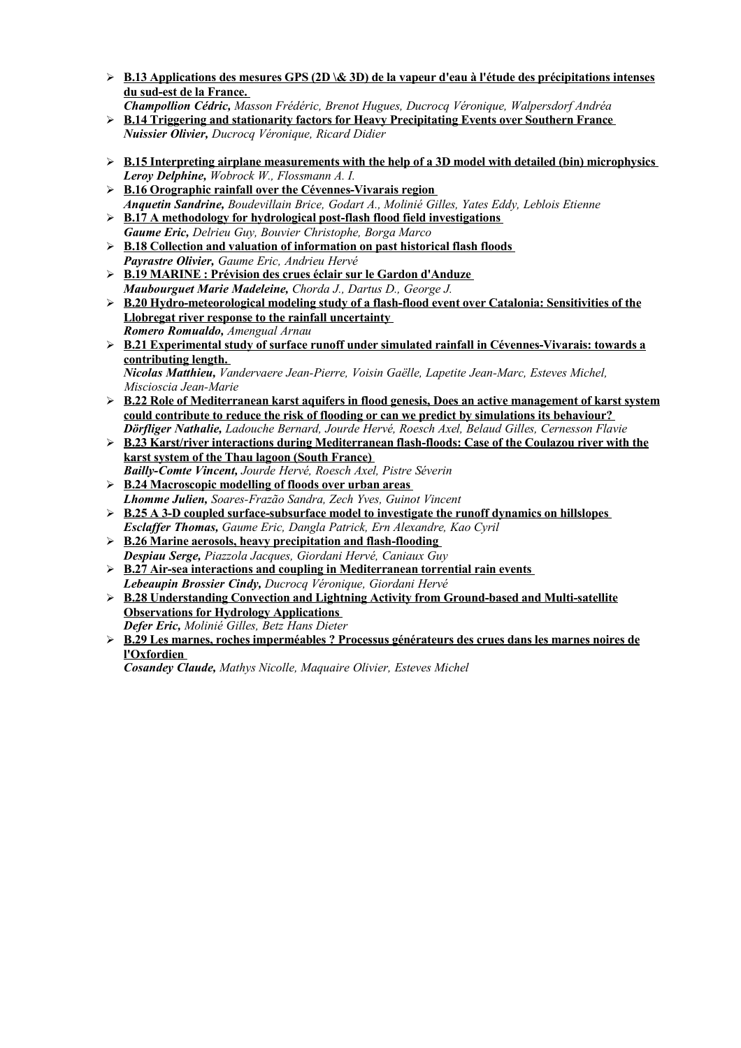- ➢ **B.13 Applications des mesures GPS (2D \& 3D) de la vapeur d'eau à l'étude des précipitations intenses du sud-est de la France.**
- *Champollion Cédric, Masson Frédéric, Brenot Hugues, Ducrocq Véronique, Walpersdorf Andréa* ➢ **B.14 Triggering and stationarity factors for Heavy Precipitating Events over Southern France**
- *Nuissier Olivier, Ducrocq Véronique, Ricard Didier*
- ➢ **B.15 Interpreting airplane measurements with the help of a 3D model with detailed (bin) microphysics** *Leroy Delphine, Wobrock W., Flossmann A. I.*
- ➢ **B.16 Orographic rainfall over the Cévennes-Vivarais region** *Anquetin Sandrine, Boudevillain Brice, Godart A., Molinié Gilles, Yates Eddy, Leblois Etienne*
- ➢ **B.17 A methodology for hydrological post-flash flood field investigations** *Gaume Eric, Delrieu Guy, Bouvier Christophe, Borga Marco*
- ➢ **B.18 Collection and valuation of information on past historical flash floods** *Payrastre Olivier, Gaume Eric, Andrieu Hervé*
- ➢ **B.19 MARINE : Prévision des crues éclair sur le Gardond'Anduze** *Maubourguet Marie Madeleine, Chorda J., Dartus D., George J.*
- ➢ **B.20 Hydro-meteorological modeling study of a flash-flood event over Catalonia: Sensitivities of the Llobregat river response to the rainfall uncertainty** *Romero Romualdo, Amengual Arnau*
- ➢ **B.21 Experimental study of surface runoff under simulated rainfall in Cévennes-Vivarais: towards a contributing length.** *Nicolas Matthieu, Vandervaere Jean-Pierre, Voisin Gaëlle, Lapetite Jean-Marc, Esteves Michel,*
- *Miscioscia Jean-Marie* ➢ **B.22 Role of Mediterranean karst aquifers in flood genesis, Does an active management of karst system could contribute to reduce the risk of flooding or can we predict by simulations its behaviour?** *Dörfliger Nathalie, Ladouche Bernard, Jourde Hervé, Roesch Axel, Belaud Gilles, Cernesson Flavie*
- ➢ **B.23 Karst/river interactions during Mediterranean flash-floods: Case of the Coulazou river with the karst system of the Thau lagoon (South France)** *Bailly-Comte Vincent, Jourde Hervé, Roesch Axel, Pistre Séverin*
- ➢ **B.24 Macroscopic modelling of floods over urban areas** *Lhomme Julien, Soares-Frazão Sandra, Zech Yves, Guinot Vincent*
- ➢ **B.25 A 3-D coupled surface-subsurface model to investigate the runoff dynamics on hillslopes** *Esclaffer Thomas, Gaume Eric, Dangla Patrick, Ern Alexandre, Kao Cyril*
- ➢ **B.26 Marine aerosols, heavy precipitation and flash-flooding** *Despiau Serge, Piazzola Jacques, Giordani Hervé, Caniaux Guy*
- ➢ **B.27 Air-sea interactions and coupling in Mediterranean torrential rain events** *Lebeaupin Brossier Cindy, Ducrocq Véronique, Giordani Hervé*
- ➢ **B.28 Understanding Convection and Lightning Activity from Ground-based and Multi-satellite Observations for Hydrology Applications** *Defer Eric, Molinié Gilles, Betz Hans Dieter*
- ➢ **B.29 Les marnes, roches imperméables ? Processus générateurs des crues dans les marnes noires de l'Oxfordien**

*Cosandey Claude, Mathys Nicolle, Maquaire Olivier, Esteves Michel*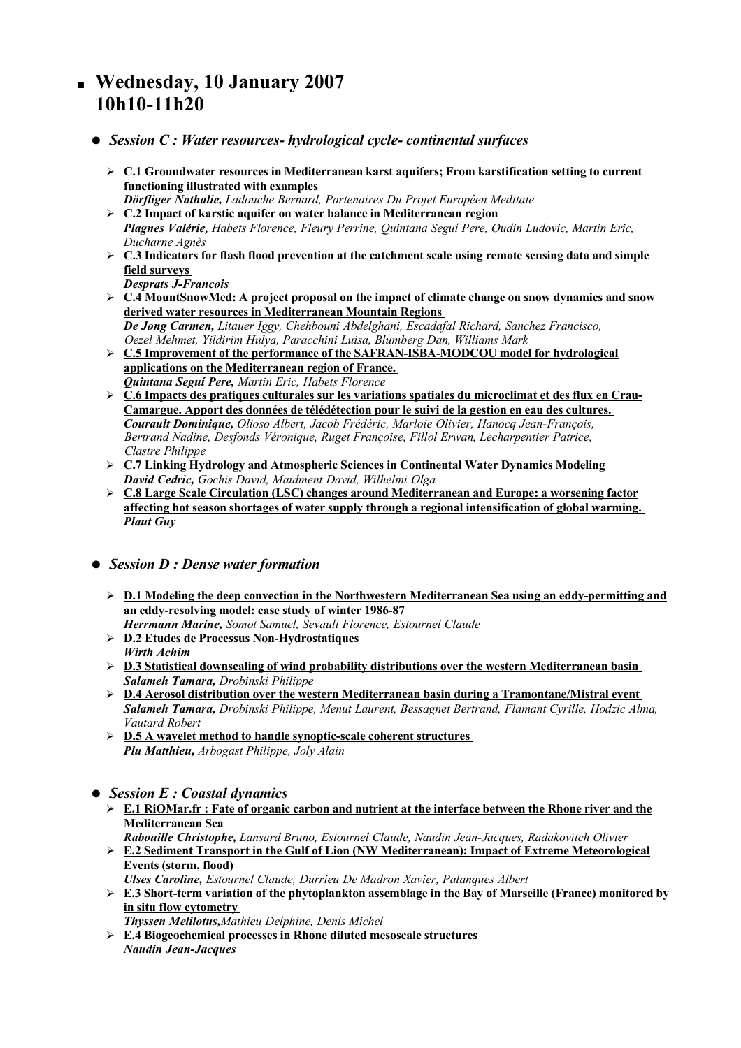## **Wednesday, 10 January 2007 10h10-11h20**

- *Session C : Water resources- hydrological cycle- continental surfaces*
	- ➢ **C.1 Groundwater resources in Mediterranean karst aquifers; From karstification setting to current functioning illustrated with examples** *Dörfliger Nathalie, Ladouche Bernard, Partenaires Du Projet Européen Meditate*
	- ➢ **C.2 Impact of karstic aquifer on water balance in Mediterranean region** *Plagnes Valérie, Habets Florence, Fleury Perrine, Quintana Seguí Pere, Oudin Ludovic, Martin Eric, Ducharne Agnès*
	- ➢ **C.3 Indicators for flash flood prevention at the catchment scale using remote sensing data and simple field surveys**
		- *Desprats J-Francois*
	- ➢ **C.4 MountSnowMed: A project proposal on the impact of climate change on snow dynamics and snow derived water resources in Mediterranean Mountain Regions** *De Jong Carmen, Litauer Iggy, Chehbouni Abdelghani, Escadafal Richard, Sanchez Francisco,*
	- *Oezel Mehmet, Yildirim Hulya, Paracchini Luisa, Blumberg Dan, Williams Mark* ➢ **C.5 Improvement of the performance of the SAFRAN-ISBA-MODCOU model for hydrological applications on the Mediterranean region of France.** *Quintana Seguí Pere, Martin Eric, Habets Florence*
	- ➢ **C.6 Impacts des pratiques culturales sur les variations spatiales du microclimat et des flux en Crau-Camargue. Apport des données de télédétection pour le suivi de la gestion en eau des cultures.**  *Courault Dominique, Olioso Albert, Jacob Frédéric, Marloie Olivier, Hanocq Jean-François, Bertrand Nadine, Desfonds Véronique, Ruget Françoise, Fillol Erwan, Lecharpentier Patrice, Clastre Philippe*
	- ➢ **C.7 Linking Hydrology and Atmospheric Sciences in Continental Water Dynamics Modeling** *David Cedric, Gochis David, Maidment David, Wilhelmi Olga*
	- ➢ **C.8 Large Scale Circulation (LSC) changes around Mediterranean and Europe: a worsening factor affecting hot season shortages of water supply through a regional intensification of global warming.** *Plaut Guy*
- *Session D : Dense water formation*
	- ➢ **D.1 Modeling the deep convection in the Northwestern Mediterranean Sea using an eddy-permitting and an eddy-resolving model: case study of winter 1986-87** *Herrmann Marine, Somot Samuel, Sevault Florence, Estournel Claude*
	- ➢ **D.2 Etudes de Processus Non-Hydrostatiques** *Wirth Achim*
	- ➢ **D.3 Statistical downscaling of wind probability distributions over the western Mediterranean basin** *Salameh Tamara, Drobinski Philippe*
	- ➢ **D.4 Aerosol distribution over the western Mediterranean basin during a Tramontane/Mistral event** *Salameh Tamara, Drobinski Philippe, Menut Laurent, Bessagnet Bertrand, Flamant Cyrille, Hodzic Alma, Vautard Robert*
	- ➢ **D.5 A wavelet method to handle synoptic-scale coherent structures** *Plu Matthieu, Arbogast Philippe, Joly Alain*
- *Session E : Coastal dynamics*
	- $\Sigma$  E.1 RiOMar.fr : Fate of organic carbon and nutrient at the interface between the Rhone river and the **Mediterranean Sea**
		- *Rabouille Christophe, Lansard Bruno, Estournel Claude, Naudin Jean-Jacques, Radakovitch Olivier*
	- ➢ **E.2 Sediment Transport in the Gulf of Lion (NW Mediterranean): Impact of Extreme Meteorological Events (storm, flood)**
	- *Ulses Caroline, Estournel Claude, Durrieu De Madron Xavier, Palanques Albert*
	- ➢ **E.3 Short-term variation of the phytoplankton assemblage in the Bay of Marseille (France) monitored by in situ flow cytometry**
	- *Thyssen Melilotus,Mathieu Delphine, Denis Michel*
	- ➢ **E.4 Biogeochemical processes in Rhone diluted mesoscale structures** *Naudin Jean-Jacques*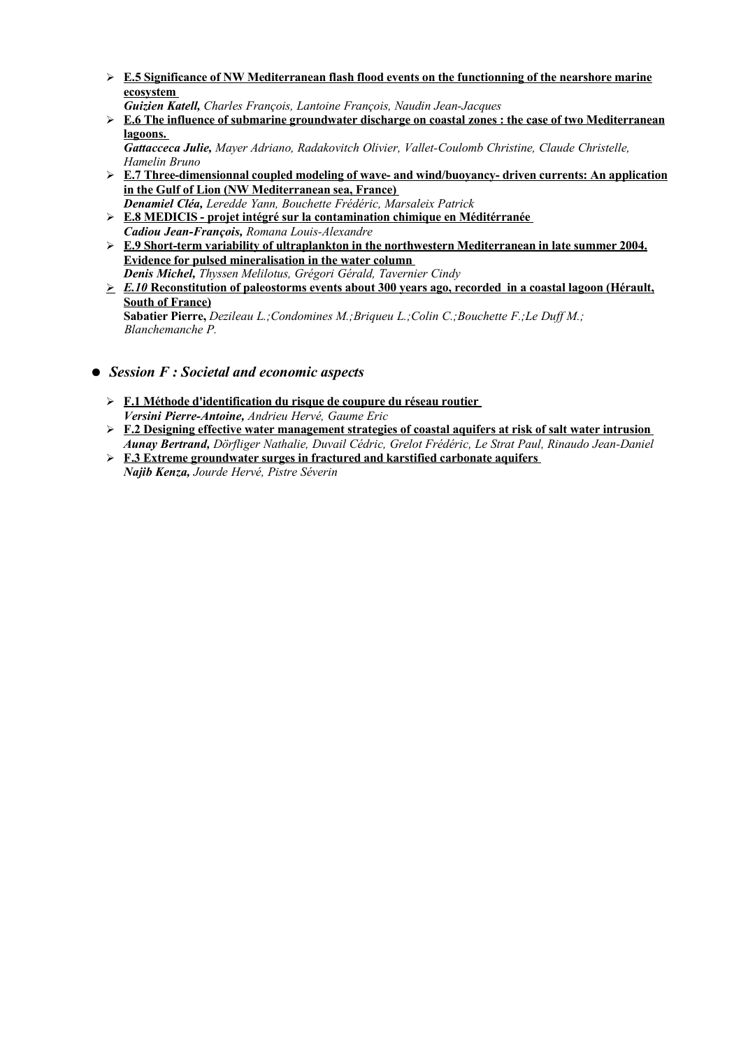- ➢ **E.5 Significance of NW Mediterranean flash flood events on the functionning of the nearshore marine ecosystem**
	- *Guizien Katell, Charles François, Lantoine François, Naudin Jean-Jacques*
- ➢ **E.6 The influence of submarine groundwater discharge on coastal zones : the case of two Mediterranean lagoons.**
	- *Gattacceca Julie, Mayer Adriano, Radakovitch Olivier, Vallet-Coulomb Christine, Claude Christelle, Hamelin Bruno*
- ➢ **E.7 Three-dimensionnal coupled modeling of wave- and wind/buoyancy- driven currents: An application in the Gulf of Lion (NW Mediterranean sea, France)** *Denamiel Cléa, Leredde Yann, Bouchette Frédéric, Marsaleix Patrick*
- ➢ **E.8 MEDICIS- projet intégré sur la contamination chimique en Méditérranée** *Cadiou Jean-François, Romana Louis-Alexandre*
- ➢ **E.9 Short-term variability of ultraplankton in the northwestern Mediterranean in late summer 2004. Evidence for pulsed mineralisation in the water column** *Denis Michel, Thyssen Melilotus, Grégori Gérald, Tavernier Cindy*
- ➢ *E.10* **Reconstitution of paleostorms events about 300 years ago, recorded in a coastal lagoon (Hérault, South of France)**

**Sabatier Pierre,** *Dezileau L.;Condomines M.;Briqueu L.;Colin C.;Bouchette F.;Le Duff M.; Blanchemanche P.*

- *Session F : Societal and economic aspects*
	- ➢ **F.1 Méthode d'identification du risque de coupure du réseau routier** *Versini Pierre-Antoine, Andrieu Hervé, Gaume Eric*
	- ➢ **F.2 Designing effective water management strategies of coastal aquifers at risk of salt water intrusion** *Aunay Bertrand, Dörfliger Nathalie, Duvail Cédric, Grelot Frédéric, Le Strat Paul, Rinaudo Jean-Daniel*
	- ➢ **F.3 Extreme groundwater surges in fractured and karstified carbonate aquifers** *Najib Kenza, Jourde Hervé, Pistre Séverin*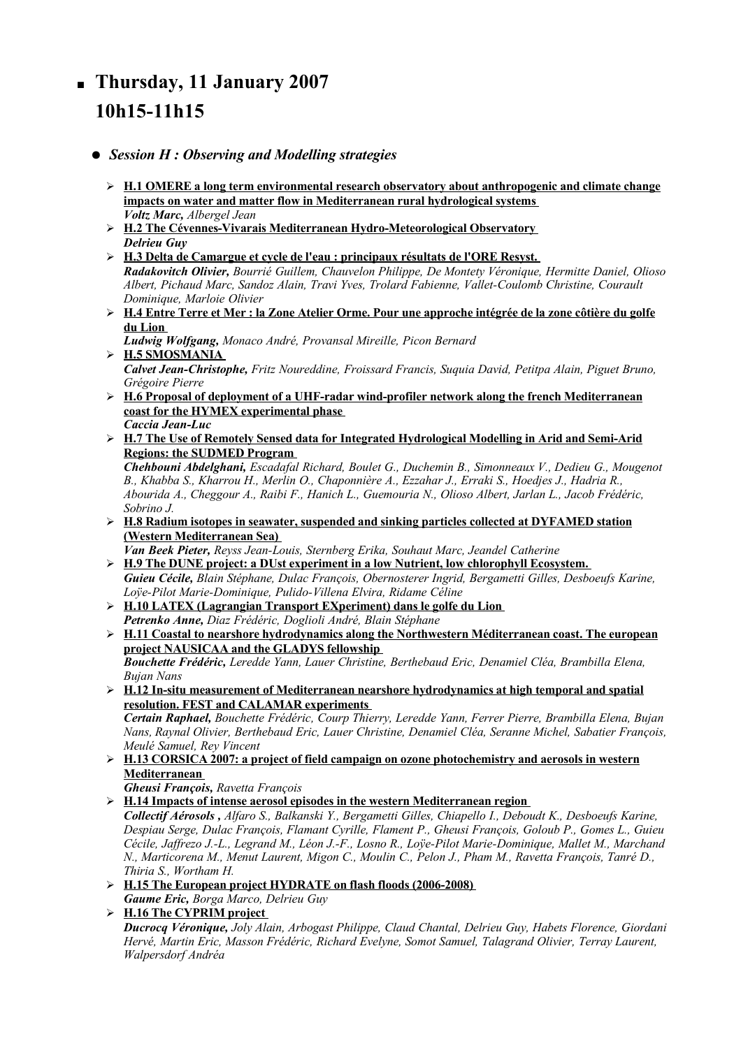## **Thursday, 11 January 2007 10h15-11h15**

## ● *Session H : Observing and Modelling strategies*

- ➢ **H.1 OMERE a long term environmental research observatory about anthropogenic and climate change impacts on water and matter flow in Mediterranean rural hydrological systems** *Voltz Marc, Albergel Jean*
- ➢ **H.2 The Cévennes-Vivarais Mediterranean Hydro-Meteorological Observatory** *Delrieu Guy*
- ➢ **H.3 Delta de Camargue et cycle de l'eau : principaux résultats de l'ORE Resyst.** *Radakovitch Olivier, Bourrié Guillem, Chauvelon Philippe, De Montety Véronique, Hermitte Daniel, Olioso Albert, Pichaud Marc, Sandoz Alain, Travi Yves, Trolard Fabienne, Vallet-Coulomb Christine, Courault Dominique, Marloie Olivier*
- > H.4 Entre Terre et Mer : la Zone Atelier Orme. Pour une approche intégrée de la zone côtière du golfe **du Lion**
- *Ludwig Wolfgang, Monaco André, Provansal Mireille, Picon Bernard* ➢ **H.5 SMOSMANIA** *Calvet Jean-Christophe, Fritz Noureddine, Froissard Francis, Suquia David, Petitpa Alain, Piguet Bruno,*
- *Grégoire Pierre* ➢ **H.6 Proposal of deployment of a UHF-radar wind-profiler network along the french Mediterranean coast for the HYMEX experimental phase** *Caccia Jean-Luc*
- ➢ **H.7 The Use of Remotely Sensed data for Integrated Hydrological Modelling in Arid and Semi-Arid Regions: the SUDMED Program**

*Chehbouni Abdelghani, Escadafal Richard, Boulet G., Duchemin B., Simonneaux V., Dedieu G., Mougenot B., Khabba S., Kharrou H., Merlin O., Chaponnière A., Ezzahar J., Erraki S., Hoedjes J., Hadria R., Abourida A., Cheggour A., Raibi F., Hanich L., Guemouria N., Olioso Albert, Jarlan L., Jacob Frédéric, Sobrino J.*

➢ **H.8 Radium isotopes in seawater, suspended and sinking particles collected at DYFAMED station (Western Mediterranean Sea)**

*Van Beek Pieter, Reyss Jean-Louis, Sternberg Erika, Souhaut Marc, Jeandel Catherine* ➢ **H.9 The DUNE project: a DUst experiment in a low Nutrient, low chlorophyll Ecosystem.**

- *Guieu Cécile, Blain Stéphane, Dulac François, Obernosterer Ingrid, Bergametti Gilles, Desboeufs Karine, Loÿe-Pilot Marie-Dominique, Pulido-Villena Elvira, Ridame Céline*
- ➢ **H.10 LATEX (Lagrangian Transport EXperiment) dans le golfe du Lion** *Petrenko Anne, Diaz Frédéric, Doglioli André, Blain Stéphane*
- ➢ **H.11 Coastal to nearshore hydrodynamics along the Northwestern Méditerranean coast. The european project NAUSICAA and the GLADYS fellowship** *Bouchette Frédéric, Leredde Yann, Lauer Christine, Berthebaud Eric, Denamiel Cléa, Brambilla Elena, Bujan Nans*
- ➢ **H.12 In-situ measurement of Mediterranean nearshore hydrodynamics at high temporal and spatial resolution. FEST and CALAMAR experiments** *Certain Raphael, Bouchette Frédéric, Courp Thierry, Leredde Yann, Ferrer Pierre, Brambilla Elena, Bujan*

*Nans, Raynal Olivier, Berthebaud Eric, Lauer Christine, Denamiel Cléa, Seranne Michel, Sabatier François, Meulé Samuel, Rey Vincent*

➢ **H.13 CORSICA 2007: a project of field campaign on ozone photochemistry and aerosols in western Mediterranean**

*Gheusi François, Ravetta François*

➢ **H.14 Impacts of intense aerosol episodes in the western Mediterranean region**

*Collectif Aérosols , Alfaro S., Balkanski Y., Bergametti Gilles, Chiapello I., Deboudt K., Desboeufs Karine, Despiau Serge, Dulac François, Flamant Cyrille, Flament P., Gheusi François, Goloub P., Gomes L., Guieu Cécile, Jaffrezo J.-L., Legrand M., Léon J.-F., Losno R., Loÿe-Pilot Marie-Dominique, Mallet M., Marchand N., Marticorena M., Menut Laurent, Migon C., Moulin C., Pelon J., Pham M., Ravetta François, Tanré D., Thiria S., Wortham H.*

➢ **H.15 The European project HYDRATE on flash floods (2006-2008)**

*Gaume Eric, Borga Marco, Delrieu Guy*

➢ **H.16 The CYPRIM project** *Ducrocq Véronique, Joly Alain, Arbogast Philippe, Claud Chantal, Delrieu Guy, Habets Florence, Giordani Hervé, Martin Eric, Masson Frédéric, Richard Evelyne, Somot Samuel, Talagrand Olivier, Terray Laurent, Walpersdorf Andréa*